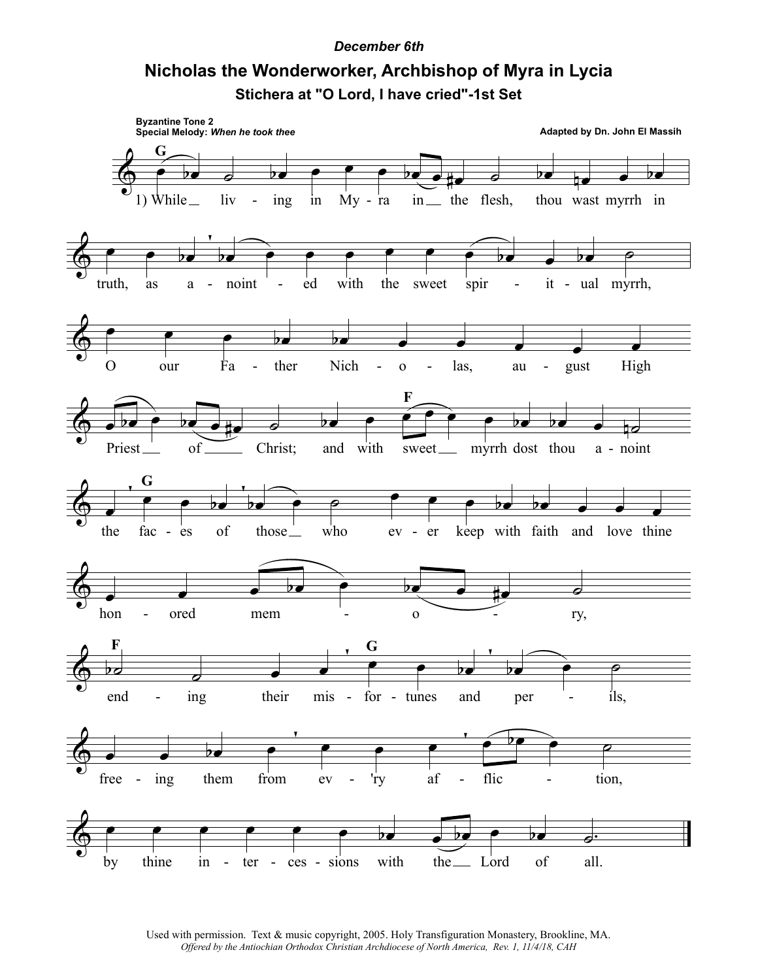## *December 6th*

## **Nicholas the Wonderworker, Archbishop of Myra in Lycia Stichera at "O Lord, I have cried"-1st Set**



Used with permission. Text & music copyright, 2005. Holy Transfiguration Monastery, Brookline, MA. *Offered by the Antiochian Orthodox Christian Archdiocese of North America, Rev. 1, 11/4/18, CAH*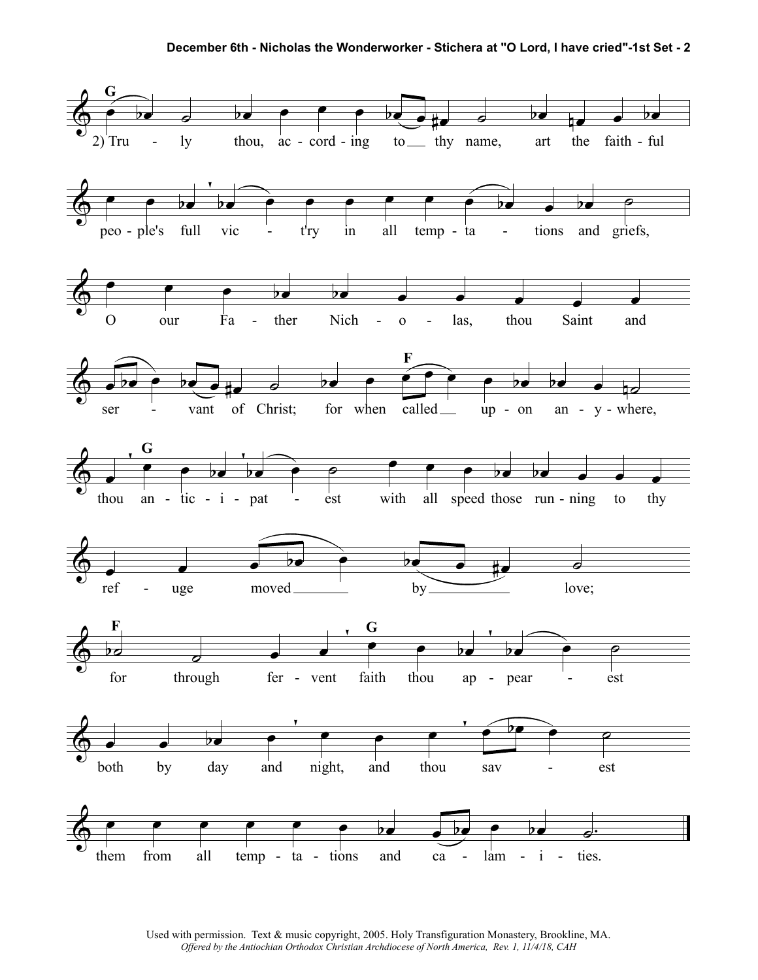

Used with permission. Text & music copyright, 2005. Holy Transfiguration Monastery, Brookline, MA. *Offered by the Antiochian Orthodox Christian Archdiocese of North America, Rev. 1, 11/4/18, CAH*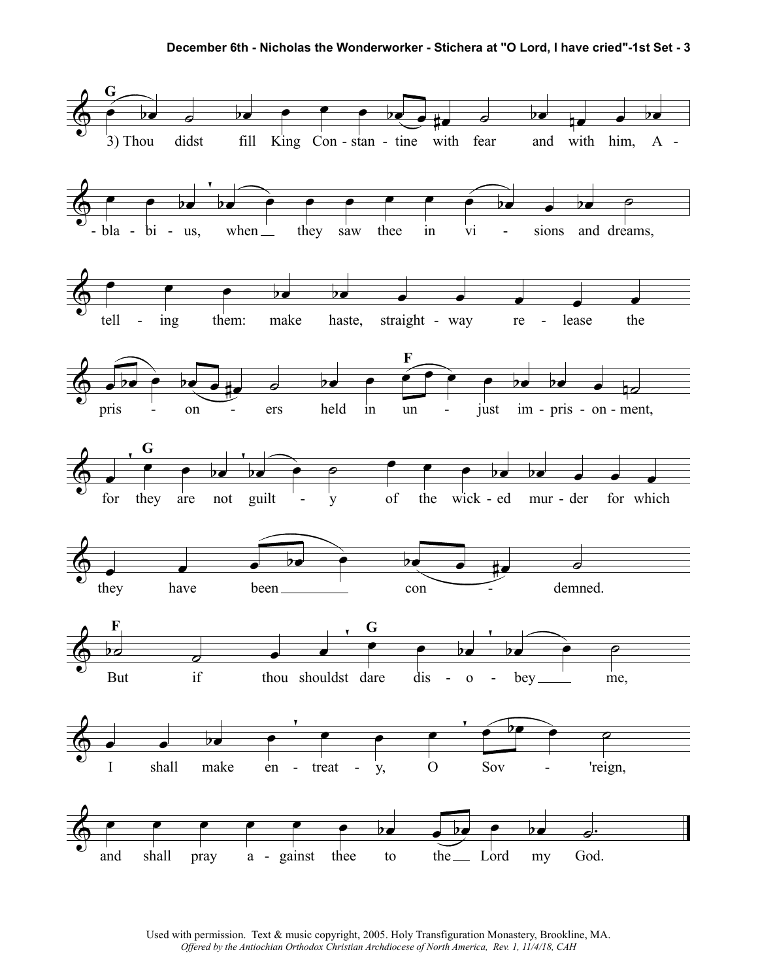

Used with permission. Text & music copyright, 2005. Holy Transfiguration Monastery, Brookline, MA. *Offered by the Antiochian Orthodox Christian Archdiocese of North America, Rev. 1, 11/4/18, CAH*